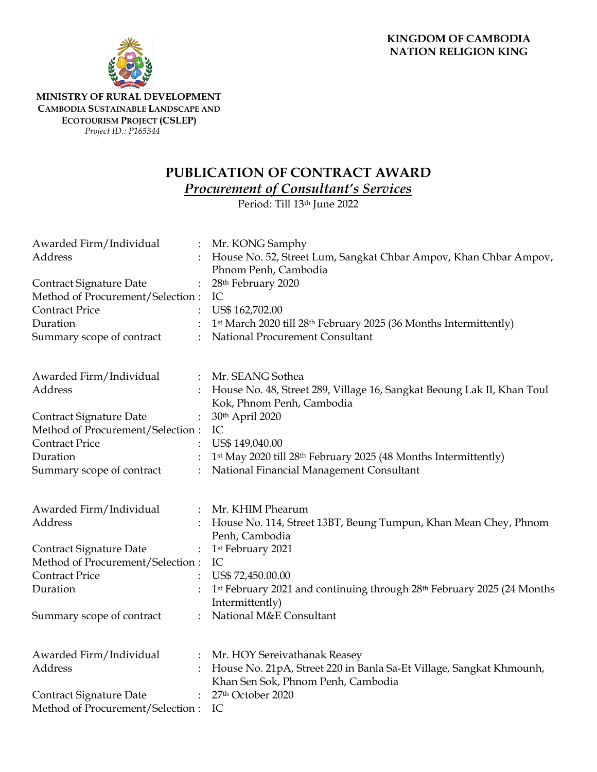

## **MINISTRY OF RURAL DEVELOPMENT CAMBODIA SUSTAINABLE LANDSCAPE AND ECOTOURISM PROJECT (CSLEP)** *Project ID.: P165344*

## **PUBLICATION OF CONTRACT AWARD**

*Procurement of Consultant's Services*

Period: Till 13th June 2022

| Awarded Firm/Individual                                            | Mr. KONG Samphy                                                                                           |
|--------------------------------------------------------------------|-----------------------------------------------------------------------------------------------------------|
| Address                                                            | House No. 52, Street Lum, Sangkat Chbar Ampov, Khan Chbar Ampov,                                          |
|                                                                    | Phnom Penh, Cambodia                                                                                      |
| Contract Signature Date                                            | 28th February 2020                                                                                        |
| Method of Procurement/Selection:                                   | IC                                                                                                        |
| <b>Contract Price</b>                                              | US\$ 162,702.00                                                                                           |
| Duration                                                           | 1st March 2020 till 28th February 2025 (36 Months Intermittently)                                         |
| Summary scope of contract                                          | National Procurement Consultant                                                                           |
| Awarded Firm/Individual                                            | Mr. SEANG Sothea                                                                                          |
| Address                                                            | House No. 48, Street 289, Village 16, Sangkat Beoung Lak II, Khan Toul<br>Kok, Phnom Penh, Cambodia       |
| Contract Signature Date<br>$\ddot{\cdot}$                          | 30th April 2020                                                                                           |
| Method of Procurement/Selection :                                  | IC                                                                                                        |
| <b>Contract Price</b>                                              | US\$ 149,040.00                                                                                           |
| Duration                                                           | 1st May 2020 till 28th February 2025 (48 Months Intermittently)                                           |
| Summary scope of contract                                          | National Financial Management Consultant                                                                  |
| Awarded Firm/Individual                                            | Mr. KHIM Phearum                                                                                          |
| Address                                                            | House No. 114, Street 13BT, Beung Tumpun, Khan Mean Chey, Phnom<br>Penh, Cambodia                         |
| <b>Contract Signature Date</b><br>$\ddot{\cdot}$                   | 1 <sup>st</sup> February 2021                                                                             |
| Method of Procurement/Selection:                                   | IC                                                                                                        |
| <b>Contract Price</b>                                              | US\$ 72,450.00.00                                                                                         |
| Duration                                                           | 1st February 2021 and continuing through 28th February 2025 (24 Months<br>Intermittently)                 |
| Summary scope of contract                                          | National M&E Consultant                                                                                   |
| Awarded Firm/Individual                                            | Mr. HOY Sereivathanak Reasey                                                                              |
| Address                                                            | House No. 21pA, Street 220 in Banla Sa-Et Village, Sangkat Khmounh,<br>Khan Sen Sok, Phnom Penh, Cambodia |
| <b>Contract Signature Date</b><br>Method of Procurement/Selection: | 27th October 2020<br>IC                                                                                   |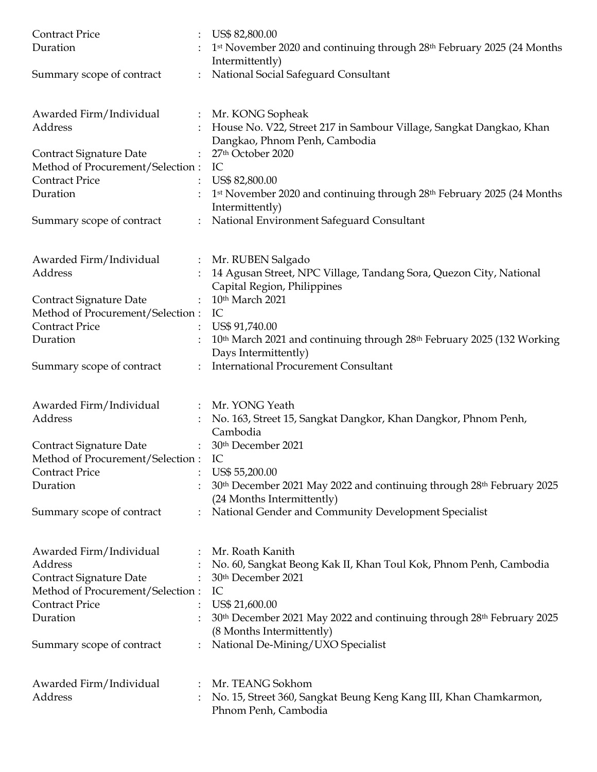| <b>Contract Price</b><br>Duration                                                                                          | US\$ 82,800.00<br>1st November 2020 and continuing through 28th February 2025 (24 Months<br>Intermittently)                                                     |
|----------------------------------------------------------------------------------------------------------------------------|-----------------------------------------------------------------------------------------------------------------------------------------------------------------|
| Summary scope of contract                                                                                                  | National Social Safeguard Consultant                                                                                                                            |
| Awarded Firm/Individual<br>$\ddot{\cdot}$<br>Address                                                                       | Mr. KONG Sopheak<br>House No. V22, Street 217 in Sambour Village, Sangkat Dangkao, Khan<br>Dangkao, Phnom Penh, Cambodia                                        |
| Contract Signature Date<br>Method of Procurement/Selection :                                                               | 27th October 2020<br>IC                                                                                                                                         |
| <b>Contract Price</b><br>Duration                                                                                          | US\$ 82,800.00<br>1 <sup>st</sup> November 2020 and continuing through 28 <sup>th</sup> February 2025 (24 Months<br>Intermittently)                             |
| Summary scope of contract                                                                                                  | National Environment Safeguard Consultant                                                                                                                       |
| Awarded Firm/Individual<br>$\ddot{\phantom{a}}$<br>Address                                                                 | Mr. RUBEN Salgado<br>14 Agusan Street, NPC Village, Tandang Sora, Quezon City, National<br>Capital Region, Philippines                                          |
| Contract Signature Date<br>Method of Procurement/Selection : IC                                                            | 10th March 2021                                                                                                                                                 |
| <b>Contract Price</b><br>Duration                                                                                          | US\$ 91,740.00<br>10 <sup>th</sup> March 2021 and continuing through 28 <sup>th</sup> February 2025 (132 Working<br>Days Intermittently)                        |
| Summary scope of contract                                                                                                  | <b>International Procurement Consultant</b>                                                                                                                     |
| Awarded Firm/Individual<br>Address                                                                                         | : Mr. YONG Yeath<br>No. 163, Street 15, Sangkat Dangkor, Khan Dangkor, Phnom Penh,<br>Cambodia                                                                  |
| Contract Signature Date<br>Method of Procurement/Selection:                                                                | 30th December 2021<br>IC                                                                                                                                        |
| <b>Contract Price</b><br>Duration                                                                                          | US\$ 55,200.00<br>30 <sup>th</sup> December 2021 May 2022 and continuing through 28 <sup>th</sup> February 2025<br>(24 Months Intermittently)                   |
| Summary scope of contract                                                                                                  | National Gender and Community Development Specialist                                                                                                            |
| Awarded Firm/Individual<br>Address<br>Contract Signature Date<br>Method of Procurement/Selection:<br><b>Contract Price</b> | Mr. Roath Kanith<br>No. 60, Sangkat Beong Kak II, Khan Toul Kok, Phnom Penh, Cambodia<br>30th December 2021<br>IC<br>US\$ 21,600.00                             |
| Duration<br>Summary scope of contract                                                                                      | 30 <sup>th</sup> December 2021 May 2022 and continuing through 28 <sup>th</sup> February 2025<br>(8 Months Intermittently)<br>National De-Mining/UXO Specialist |
| Awarded Firm/Individual<br>Address                                                                                         | Mr. TEANG Sokhom<br>No. 15, Street 360, Sangkat Beung Keng Kang III, Khan Chamkarmon,<br>Phnom Penh, Cambodia                                                   |